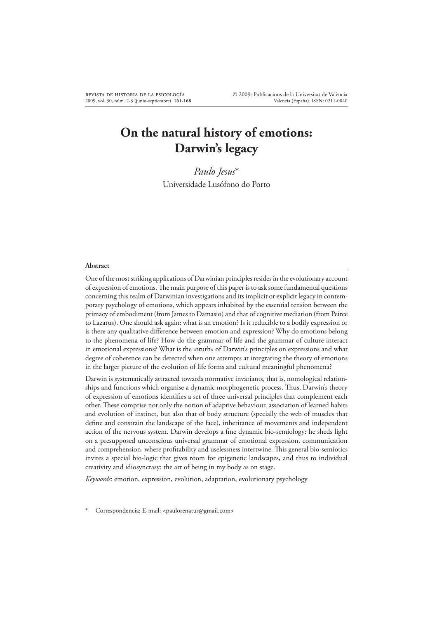# **On the natural history of emotions: Darwin's legacy**

*Paulo Jesus*\* Universidade Lusófono do Porto

#### **Abstract**

One of the most striking applications of Darwinian principles resides in the evolutionary account of expression of emotions. Ae main purpose of this paper is to ask some fundamental questions concerning this realm of Darwinian investigations and its implicit or explicit legacy in contemporary psychology of emotions, which appears inhabited by the essential tension between the primacy of embodiment (from James to Damasio) and that of cognitive mediation (from Peirce to Lazarus). One should ask again: what is an emotion? Is it reducible to a bodily expression or is there any qualitative difference between emotion and expression? Why do emotions belong to the phenomena of life? How do the grammar of life and the grammar of culture interact in emotional expressions? What is the «truth» of Darwin's principles on expressions and what degree of coherence can be detected when one attempts at integrating the theory of emotions in the larger picture of the evolution of life forms and cultural meaningful phenomena?

Darwin is systematically attracted towards normative invariants, that is, nomological relationships and functions which organise a dynamic morphogenetic process. Thus, Darwin's theory of expression of emotions identifies a set of three universal principles that complement each other. These comprise not only the notion of adaptive behaviour, association of learned habits and evolution of instinct, but also that of body structure (specially the web of muscles that define and constrain the landscape of the face), inheritance of movements and independent action of the nervous system. Darwin develops a fine dynamic bio-semiology: he sheds light on a presupposed unconscious universal grammar of emotional expression, communication and comprehension, where profitability and uselessness intertwine. This general bio-semiotics invites a special bio-logic that gives room for epigenetic landscapes, and thus to individual creativity and idiosyncrasy: the art of being in my body as on stage.

*Keywords*: emotion, expression, evolution, adaptation, evolutionary psychology

Correspondencia: E-mail: <paulorenatus@gmail.com>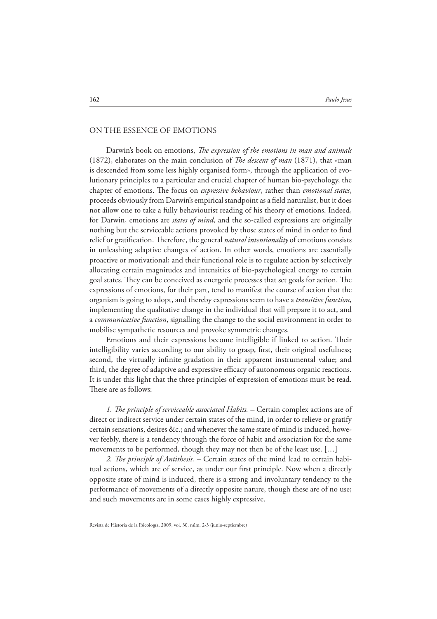## ON THE ESSENCE OF EMOTIONS

Darwin's book on emotions, *The expression of the emotions in man and animals* (1872), elaborates on the main conclusion of *The descent of man* (1871), that «man is descended from some less highly organised form», through the application of evolutionary principles to a particular and crucial chapter of human bio-psychology, the chapter of emotions. The focus on *expressive behaviour*, rather than *emotional states*, proceeds obviously from Darwin's empirical standpoint as a \$eld naturalist, but it does not allow one to take a fully behaviourist reading of his theory of emotions. Indeed, for Darwin, emotions are *states of mind*, and the so-called expressions are originally nothing but the serviceable actions provoked by those states of mind in order to find relief or gratification. Therefore, the general *natural intentionality* of emotions consists in unleashing adaptive changes of action. In other words, emotions are essentially proactive or motivational; and their functional role is to regulate action by selectively allocating certain magnitudes and intensities of bio-psychological energy to certain goal states. They can be conceived as energetic processes that set goals for action. The expressions of emotions, for their part, tend to manifest the course of action that the organism is going to adopt, and thereby expressions seem to have a *transitive function*, implementing the qualitative change in the individual that will prepare it to act, and a *communicative function*, signalling the change to the social environment in order to mobilise sympathetic resources and provoke symmetric changes.

Emotions and their expressions become intelligible if linked to action. Their intelligibility varies according to our ability to grasp, first, their original usefulness; second, the virtually infinite gradation in their apparent instrumental value; and third, the degree of adaptive and expressive efficacy of autonomous organic reactions. It is under this light that the three principles of expression of emotions must be read. These are as follows:

1. The principle of serviceable associated Habits. – Certain complex actions are of direct or indirect service under certain states of the mind, in order to relieve or gratify certain sensations, desires &c.; and whenever the same state of mind is induced, however feebly, there is a tendency through the force of habit and association for the same movements to be performed, though they may not then be of the least use. […]

2. *The principle of Antithesis.* – Certain states of the mind lead to certain habitual actions, which are of service, as under our first principle. Now when a directly opposite state of mind is induced, there is a strong and involuntary tendency to the performance of movements of a directly opposite nature, though these are of no use; and such movements are in some cases highly expressive.

Revista de Historia de la Psicología, 2009, vol. 30, núm. 2-3 (junio-septiembre)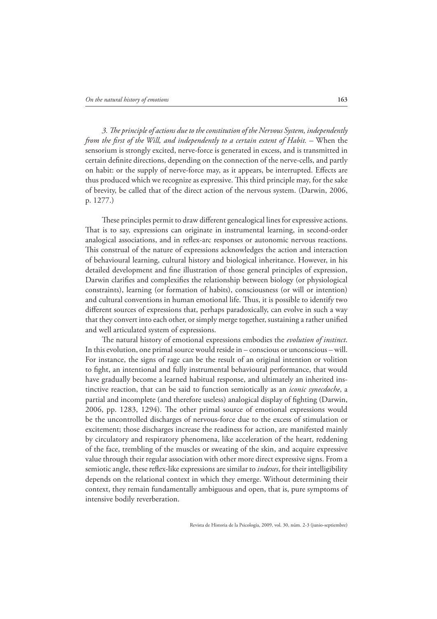3. The principle of actions due to the constitution of the Nervous System, independently *from the first of the Will, and independently to a certain extent of Habit.* – When the sensorium is strongly excited, nerve-force is generated in excess, and is transmitted in certain definite directions, depending on the connection of the nerve-cells, and partly on habit: or the supply of nerve-force may, as it appears, be interrupted. Effects are thus produced which we recognize as expressive. This third principle may, for the sake of brevity, be called that of the direct action of the nervous system. (Darwin, 2006, p. 1277.)

These principles permit to draw different genealogical lines for expressive actions. That is to say, expressions can originate in instrumental learning, in second-order analogical associations, and in reflex-arc responses or autonomic nervous reactions. This construal of the nature of expressions acknowledges the action and interaction of behavioural learning, cultural history and biological inheritance. However, in his detailed development and fine illustration of those general principles of expression, Darwin clarifies and complexifies the relationship between biology (or physiological constraints), learning (or formation of habits), consciousness (or will or intention) and cultural conventions in human emotional life. Thus, it is possible to identify two different sources of expressions that, perhaps paradoxically, can evolve in such a way that they convert into each other, or simply merge together, sustaining a rather unified and well articulated system of expressions.

The natural history of emotional expressions embodies the *evolution of instinct*. In this evolution, one primal source would reside in – conscious or unconscious – will. For instance, the signs of rage can be the result of an original intention or volition to #ght, an intentional and fully instrumental behavioural performance, that would have gradually become a learned habitual response, and ultimately an inherited instinctive reaction, that can be said to function semiotically as an *iconic synecdoche*, a partial and incomplete (and therefore useless) analogical display of fighting (Darwin,  $2006$ , pp. 1283, 1294). The other primal source of emotional expressions would be the uncontrolled discharges of nervous-force due to the excess of stimulation or excitement; those discharges increase the readiness for action, are manifested mainly by circulatory and respiratory phenomena, like acceleration of the heart, reddening of the face, trembling of the muscles or sweating of the skin, and acquire expressive value through their regular association with other more direct expressive signs. From a semiotic angle, these reflex-like expressions are similar to *indexes*, for their intelligibility depends on the relational context in which they emerge. Without determining their context, they remain fundamentally ambiguous and open, that is, pure symptoms of intensive bodily reverberation.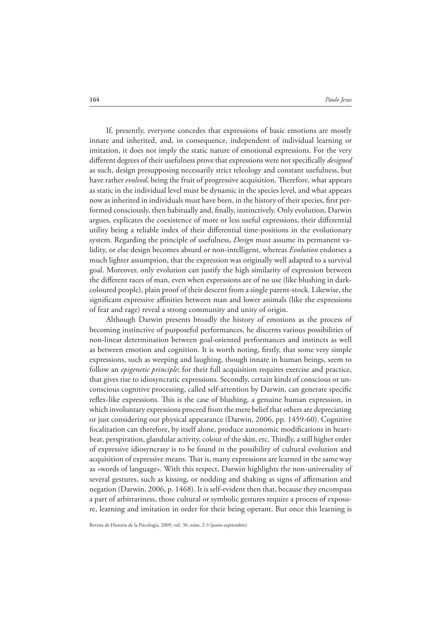If, presently, everyone concedes that expressions of basic emotions are mostly innate and inherited, and, in consequence, independent of individual learning or imitation, it does not imply the static nature of emotional expressions. For the very different degrees of their usefulness prove that expressions were not specifically *designed* as such, design presupposing necessarily strict teleology and constant usefulness, but have rather *evolved*, being the fruit of progressive acquisition. Therefore, what appears as static in the individual level must be dynamic in the species level, and what appears now as inherited in individuals must have been, in the history of their species, first performed consciously, then habitually and, finally, instinctively. Only evolution, Darwin argues, explicates the coexistence of more or less useful expressions, their differential utility being a reliable index of their differential time-positions in the evolutionary system. Regarding the principle of usefulness, *Design* must assume its permanent validity, or else design becomes absurd or non-intelligent, whereas *Evolution* endorses a much lighter assumption, that the expression was originally well adapted to a survival goal. Moreover, only evolution can justify the high similarity of expression between the different races of man, even when expressions are of no use (like blushing in darkcoloured people), plain proof of their descent from a single parent-stock. Likewise, the significant expressive affinities between man and lower animals (like the expressions of fear and rage) reveal a strong community and unity of origin.

Although Darwin presents broadly the history of emotions as the process of becoming instinctive of purposeful performances, he discerns various possibilities of non-linear determination between goal-oriented performances and instincts as well as between emotion and cognition. It is worth noting, firstly, that some very simple expressions, such as weeping and laughing, though innate in human beings, seem to follow an *epigenetic principle*; for their full acquisition requires exercise and practice, that gives rise to idiosyncratic expressions. Secondly, certain kinds of conscious or unconscious cognitive processing, called self-attention by Darwin, can generate specific reflex-like expressions. This is the case of blushing, a genuine human expression, in which involuntary expressions proceed from the mere belief that others are depreciating or just considering our physical appearance (Darwin, 2006, pp. 1459-60). Cognitive focalization can therefore, by itself alone, produce autonomic modifications in heartbeat, perspiration, glandular activity, colour of the skin, etc. Thirdly, a still higher order of expressive idiosyncrasy is to be found in the possibility of cultural evolution and acquisition of expressive means. That is, many expressions are learned in the same way as «words of language». With this respect, Darwin highlights the non-universality of several gestures, such as kissing, or nodding and shaking as signs of affirmation and negation (Darwin, 2006, p. 1468). It is self-evident then that, because they encompass a part of arbitrariness, those cultural or symbolic gestures require a process of exposure, learning and imitation in order for their being operant. But once this learning is

Revista de Historia de la Psicología, 2009, vol. 30, núm. 2-3 (junio-septiembre)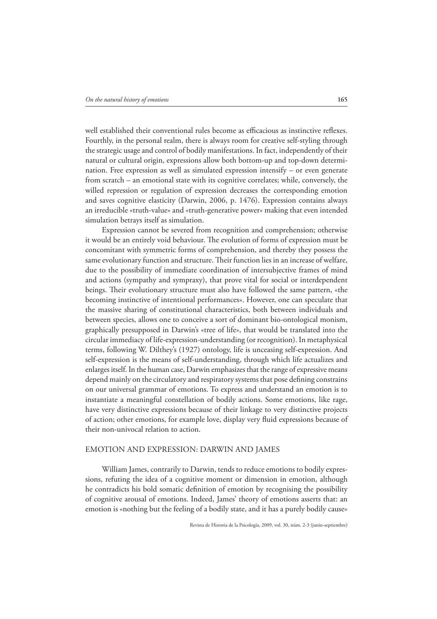well established their conventional rules become as efficacious as instinctive reflexes. Fourthly, in the personal realm, there is always room for creative self-styling through the strategic usage and control of bodily manifestations. In fact, independently of their natural or cultural origin, expressions allow both bottom-up and top-down determination. Free expression as well as simulated expression intensify – or even generate from scratch – an emotional state with its cognitive correlates; while, conversely, the willed repression or regulation of expression decreases the corresponding emotion and saves cognitive elasticity (Darwin, 2006, p. 1476). Expression contains always an irreducible «truth-value» and «truth-generative power» making that even intended simulation betrays itself as simulation.

Expression cannot be severed from recognition and comprehension; otherwise it would be an entirely void behaviour. The evolution of forms of expression must be concomitant with symmetric forms of comprehension, and thereby they possess the same evolutionary function and structure. Their function lies in an increase of welfare, due to the possibility of immediate coordination of intersubjective frames of mind and actions (sympathy and sympraxy), that prove vital for social or interdependent beings. Their evolutionary structure must also have followed the same pattern, «the becoming instinctive of intentional performances». However, one can speculate that the massive sharing of constitutional characteristics, both between individuals and between species, allows one to conceive a sort of dominant bio-ontological monism, graphically presupposed in Darwin's «tree of life», that would be translated into the circular immediacy of life-expression-understanding (or recognition). In metaphysical terms, following W. Dilthey's (1927) ontology, life is unceasing self-expression. And self-expression is the means of self-understanding, through which life actualizes and enlarges itself. In the human case, Darwin emphasizes that the range of expressive means depend mainly on the circulatory and respiratory systems that pose defining constrains on our universal grammar of emotions. To express and understand an emotion is to instantiate a meaningful constellation of bodily actions. Some emotions, like rage, have very distinctive expressions because of their linkage to very distinctive projects of action; other emotions, for example love, display very fluid expressions because of their non-univocal relation to action.

### EMOTION AND EXPRESSION: DARWIN AND JAMES

William James, contrarily to Darwin, tends to reduce emotions to bodily expressions, refuting the idea of a cognitive moment or dimension in emotion, although he contradicts his bold somatic definition of emotion by recognising the possibility of cognitive arousal of emotions. Indeed, James' theory of emotions asserts that: an emotion is «nothing but the feeling of a bodily state, and it has a purely bodily cause»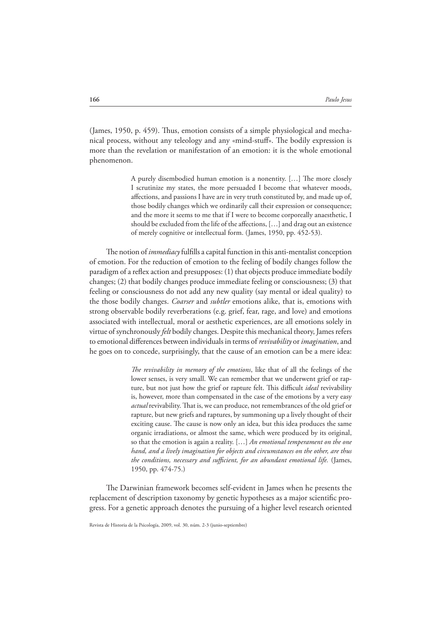(James, 1950, p. 459). Thus, emotion consists of a simple physiological and mechanical process, without any teleology and any «mind-stuff». The bodily expression is more than the revelation or manifestation of an emotion: it is the whole emotional phenomenon.

> A purely disembodied human emotion is a nonentity. [...] The more closely I scrutinize my states, the more persuaded I become that whatever moods, affections, and passions I have are in very truth constituted by, and made up of, those bodily changes which we ordinarily call their expression or consequence; and the more it seems to me that if I were to become corporeally anaesthetic, I should be excluded from the life of the affections,  $[...]$  and drag out an existence of merely cognitive or intellectual form. (James, 1950, pp. 452-53).

The notion of *immediacy* fulfills a capital function in this anti-mentalist conception of emotion. For the reduction of emotion to the feeling of bodily changes follow the paradigm of a reflex action and presupposes:  $(1)$  that objects produce immediate bodily changes; (2) that bodily changes produce immediate feeling or consciousness; (3) that feeling or consciousness do not add any new quality (say mental or ideal quality) to the those bodily changes. *Coarser* and *subtler* emotions alike, that is, emotions with strong observable bodily reverberations (e.g. grief, fear, rage, and love) and emotions associated with intellectual, moral or aesthetic experiences, are all emotions solely in virtue of synchronously *felt* bodily changes. Despite this mechanical theory, James refers to emotional differences between individuals in terms of *revivability* or *imagination*, and he goes on to concede, surprisingly, that the cause of an emotion can be a mere idea:

> *The revivability in memory of the emotions*, like that of all the feelings of the lower senses, is very small. We can remember that we underwent grief or rapture, but not just how the grief or rapture felt. This difficult *ideal* revivability is, however, more than compensated in the case of the emotions by a very easy *actual* revivability. That is, we can produce, not remembrances of the old grief or rapture, but new griefs and raptures, by summoning up a lively thought of their exciting cause. The cause is now only an idea, but this idea produces the same organic irradiations, or almost the same, which were produced by its original, so that the emotion is again a reality. […] *An emotional temperament on the one hand, and a lively imagination for objects and circumstances on the other, are thus the conditions, necessary and su"cient, for an abundant emotional life.* (James, 1950, pp. 474-75.)

The Darwinian framework becomes self-evident in James when he presents the replacement of description taxonomy by genetic hypotheses as a major scientific progress. For a genetic approach denotes the pursuing of a higher level research oriented

Revista de Historia de la Psicología, 2009, vol. 30, núm. 2-3 (junio-septiembre)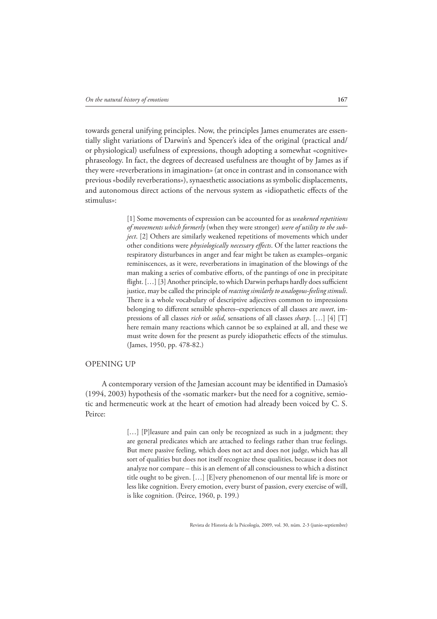towards general unifying principles. Now, the principles James enumerates are essentially slight variations of Darwin's and Spencer's idea of the original (practical and/ or physiological) usefulness of expressions, though adopting a somewhat «cognitive» phraseology. In fact, the degrees of decreased usefulness are thought of by James as if they were «reverberations in imagination» (at once in contrast and in consonance with previous «bodily reverberations»), synaesthetic associations as symbolic displacements, and autonomous direct actions of the nervous system as «idiopathetic effects of the stimulus»:

> [1] Some movements of expression can be accounted for as *weakened repetitions of movements which formerly* (when they were stronger) *were of utility to the subject*. [2] Others are similarly weakened repetitions of movements which under other conditions were *physiologically necessary effects*. Of the latter reactions the respiratory disturbances in anger and fear might be taken as examples–organic reminiscences, as it were, reverberations in imagination of the blowings of the man making a series of combative efforts, of the pantings of one in precipitate flight. [...] [3] Another principle, to which Darwin perhaps hardly does sufficient justice, may be called the principle of *reacting similarly to analogous-feeling stimuli*. There is a whole vocabulary of descriptive adjectives common to impressions belonging to different sensible spheres–experiences of all classes are *sweet*, impressions of all classes *rich* or *solid*, sensations of all classes *sharp*. […] [4] [T] here remain many reactions which cannot be so explained at all, and these we must write down for the present as purely idiopathetic effects of the stimulus. (James, 1950, pp. 478-82.)

## OPENING UP

A contemporary version of the Jamesian account may be identified in Damasio's (1994, 2003) hypothesis of the «somatic marker» but the need for a cognitive, semiotic and hermeneutic work at the heart of emotion had already been voiced by C. S. Peirce:

> [...] [P]leasure and pain can only be recognized as such in a judgment; they are general predicates which are attached to feelings rather than true feelings. But mere passive feeling, which does not act and does not judge, which has all sort of qualities but does not itself recognize these qualities, because it does not analyze nor compare – this is an element of all consciousness to which a distinct title ought to be given. […] [E]very phenomenon of our mental life is more or less like cognition. Every emotion, every burst of passion, every exercise of will, is like cognition. (Peirce, 1960, p. 199.)